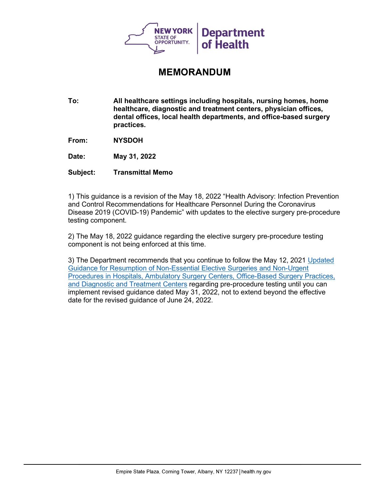

## **MEMORANDUM**

**To: All healthcare settings including hospitals, nursing homes, home healthcare, diagnostic and treatment centers, physician offices, dental offices, local health departments, and office-based surgery practices.**

**From: NYSDOH**

**Date: May 31, 2022**

**Subject: Transmittal Memo**

1) This guidance is a revision of the May 18, 2022 "Health Advisory: Infection Prevention and Control Recommendations for Healthcare Personnel During the Coronavirus Disease 2019 (COVID-19) Pandemic" with updates to the elective surgery pre-procedure testing component.

2) The May 18, 2022 guidance regarding the elective surgery pre-procedure testing component is not being enforced at this time.

3) The Department recommends that you continue to follow the May 12, 2021 [Updated](https://gcc02.safelinks.protection.outlook.com/?url=https%3A%2F%2Fcoronavirus.health.ny.gov%2Fsystem%2Ffiles%2Fdocuments%2F2021%2F05%2Felective_surgery_guidance_update_051221.pdf&data=05%7C01%7Cmonica.quinn%40health.ny.gov%7Cde1ec6b9f88f42fc30c808da433d8ecf%7Cf46cb8ea79004d108ceb80e8c1c81ee7%7C0%7C0%7C637896229040304202%7CUnknown%7CTWFpbGZsb3d8eyJWIjoiMC4wLjAwMDAiLCJQIjoiV2luMzIiLCJBTiI6Ik1haWwiLCJXVCI6Mn0%3D%7C3000%7C%7C%7C&sdata=6FFAMP5MLYZc4eGtJpd3svuAQSsdplTYShiR%2F5zm%2BMg%3D&reserved=0)  [Guidance for Resumption of Non-Essential Elective Surgeries and Non-Urgent](https://gcc02.safelinks.protection.outlook.com/?url=https%3A%2F%2Fcoronavirus.health.ny.gov%2Fsystem%2Ffiles%2Fdocuments%2F2021%2F05%2Felective_surgery_guidance_update_051221.pdf&data=05%7C01%7Cmonica.quinn%40health.ny.gov%7Cde1ec6b9f88f42fc30c808da433d8ecf%7Cf46cb8ea79004d108ceb80e8c1c81ee7%7C0%7C0%7C637896229040304202%7CUnknown%7CTWFpbGZsb3d8eyJWIjoiMC4wLjAwMDAiLCJQIjoiV2luMzIiLCJBTiI6Ik1haWwiLCJXVCI6Mn0%3D%7C3000%7C%7C%7C&sdata=6FFAMP5MLYZc4eGtJpd3svuAQSsdplTYShiR%2F5zm%2BMg%3D&reserved=0)  [Procedures in Hospitals, Ambulatory Surgery Centers, Office-Based Surgery Practices,](https://gcc02.safelinks.protection.outlook.com/?url=https%3A%2F%2Fcoronavirus.health.ny.gov%2Fsystem%2Ffiles%2Fdocuments%2F2021%2F05%2Felective_surgery_guidance_update_051221.pdf&data=05%7C01%7Cmonica.quinn%40health.ny.gov%7Cde1ec6b9f88f42fc30c808da433d8ecf%7Cf46cb8ea79004d108ceb80e8c1c81ee7%7C0%7C0%7C637896229040304202%7CUnknown%7CTWFpbGZsb3d8eyJWIjoiMC4wLjAwMDAiLCJQIjoiV2luMzIiLCJBTiI6Ik1haWwiLCJXVCI6Mn0%3D%7C3000%7C%7C%7C&sdata=6FFAMP5MLYZc4eGtJpd3svuAQSsdplTYShiR%2F5zm%2BMg%3D&reserved=0)  [and Diagnostic and Treatment Centers](https://gcc02.safelinks.protection.outlook.com/?url=https%3A%2F%2Fcoronavirus.health.ny.gov%2Fsystem%2Ffiles%2Fdocuments%2F2021%2F05%2Felective_surgery_guidance_update_051221.pdf&data=05%7C01%7Cmonica.quinn%40health.ny.gov%7Cde1ec6b9f88f42fc30c808da433d8ecf%7Cf46cb8ea79004d108ceb80e8c1c81ee7%7C0%7C0%7C637896229040304202%7CUnknown%7CTWFpbGZsb3d8eyJWIjoiMC4wLjAwMDAiLCJQIjoiV2luMzIiLCJBTiI6Ik1haWwiLCJXVCI6Mn0%3D%7C3000%7C%7C%7C&sdata=6FFAMP5MLYZc4eGtJpd3svuAQSsdplTYShiR%2F5zm%2BMg%3D&reserved=0) regarding pre-procedure testing until you can implement revised guidance dated May 31, 2022, not to extend beyond the effective date for the revised guidance of June 24, 2022.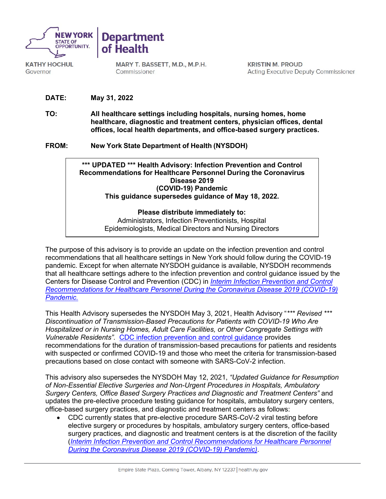

**KATHY HOCHUL** Governor

**Department** of Health

> MARY T. BASSETT, M.D., M.P.H. Commissioner

**KRISTIN M. PROUD Acting Executive Deputy Commissioner** 

**DATE: May 31, 2022**

**TO: All healthcare settings including hospitals, nursing homes, home healthcare, diagnostic and treatment centers, physician offices, dental offices, local health departments, and office-based surgery practices.**

**FROM: New York State Department of Health (NYSDOH)**



## **Please distribute immediately to:**

Administrators, Infection Preventionists, Hospital Epidemiologists, Medical Directors and Nursing Directors

The purpose of this advisory is to provide an update on the infection prevention and control recommendations that all healthcare settings in New York should follow during the COVID-19 pandemic. Except for when alternate NYSDOH guidance is available, NYSDOH recommends that all healthcare settings adhere to the infection prevention and control guidance issued by the Centers for Disease Control and Prevention (CDC) in *[Interim Infection Prevention and Control](https://www.cdc.gov/coronavirus/2019-ncov/hcp/infection-control-recommendations.html)  [Recommendations for Healthcare Personnel During the Coronavirus Disease 2019 \(COVID-19\)](https://www.cdc.gov/coronavirus/2019-ncov/hcp/infection-control-recommendations.html)  [Pandemic.](https://www.cdc.gov/coronavirus/2019-ncov/hcp/infection-control-recommendations.html)*

This Health Advisory supersedes the NYSDOH May 3, 2021, Health Advisory "*\*\*\* Revised \*\*\* Discontinuation of Transmission-Based Precautions for Patients with COVID-19 Who Are Hospitalized or in Nursing Homes, Adult Care Facilities, or Other Congregate Settings with Vulnerable Residents".* [CDC infection prevention and control guidance](https://www.cdc.gov/coronavirus/2019-ncov/hcp/infection-control-recommendations.html) provides recommendations for the duration of transmission-based precautions for patients and residents with suspected or confirmed COVID-19 and those who meet the criteria for transmission-based precautions based on close contact with someone with SARS-CoV-2 infection.

This advisory also supersedes the NYSDOH May 12, 2021, *"Updated Guidance for Resumption of Non-Essential Elective Surgeries and Non-Urgent Procedures in Hospitals, Ambulatory Surgery Centers, Office Based Surgery Practices and Diagnostic and Treatment Centers"* and updates the pre-elective procedure testing guidance for hospitals, ambulatory surgery centers, office-based surgery practices, and diagnostic and treatment centers as follows:

• CDC currently states that pre-elective procedure SARS-CoV-2 viral testing before elective surgery or procedures by hospitals, ambulatory surgery centers, office-based surgery practices, and diagnostic and treatment centers is at the discretion of the facility (*[Interim Infection Prevention and Control Recommendations for Healthcare Personnel](https://www.cdc.gov/coronavirus/2019-ncov/hcp/infection-control-recommendations.html)  [During the Coronavirus Disease 2019 \(COVID-19\) Pandemic\)](https://www.cdc.gov/coronavirus/2019-ncov/hcp/infection-control-recommendations.html)*.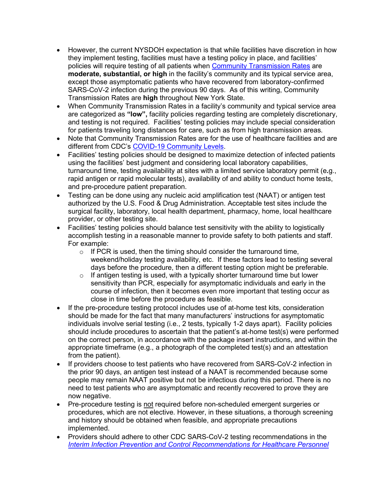- However, the current NYSDOH expectation is that while facilities have discretion in how they implement testing, facilities must have a testing policy in place, and facilities' policies will require testing of all patients when [Community Transmission Rates](https://covid.cdc.gov/covid-data-tracker/#county-view?list_select_state=all_states&list_select_county=all_counties&data-type=Risk) are **moderate, substantial, or high** in the facility's community and its typical service area, except those asymptomatic patients who have recovered from laboratory-confirmed SARS-CoV-2 infection during the previous 90 days. As of this writing, Community Transmission Rates are **high** throughout New York State.
- When Community Transmission Rates in a facility's community and typical service area are categorized as **"low",** facility policies regarding testing are completely discretionary, and testing is not required. Facilities' testing policies may include special consideration for patients traveling long distances for care, such as from high transmission areas.
- Note that Community Transmission Rates are for the use of healthcare facilities and are different from CDC's [COVID-19 Community Levels.](https://covid.cdc.gov/covid-data-tracker/#county-view?list_select_state=all_states&list_select_county=all_counties&data-type=CommunityLevels&null=CommunityLevels)
- Facilities' testing policies should be designed to maximize detection of infected patients using the facilities' best judgment and considering local laboratory capabilities, turnaround time, testing availability at sites with a limited service laboratory permit (e**.**g., rapid antigen or rapid molecular tests), availability of and ability to conduct home tests, and pre-procedure patient preparation.
- Testing can be done using any nucleic acid amplification test (NAAT) or antigen test authorized by the U.S. Food & Drug Administration. Acceptable test sites include the surgical facility, laboratory, local health department, pharmacy, home, local healthcare provider, or other testing site.
- Facilities' testing policies should balance test sensitivity with the ability to logistically accomplish testing in a reasonable manner to provide safety to both patients and staff. For example:
	- $\circ$  If PCR is used, then the timing should consider the turnaround time, weekend/holiday testing availability, etc. If these factors lead to testing several days before the procedure, then a different testing option might be preferable.
	- $\circ$  If antigen testing is used, with a typically shorter turnaround time but lower sensitivity than PCR, especially for asymptomatic individuals and early in the course of infection, then it becomes even more important that testing occur as close in time before the procedure as feasible.
- If the pre-procedure testing protocol includes use of at-home test kits, consideration should be made for the fact that many manufacturers' instructions for asymptomatic individuals involve serial testing (i.e., 2 tests, typically 1-2 days apart). Facility policies should include procedures to ascertain that the patient's at-home test(s) were performed on the correct person, in accordance with the package insert instructions, and within the appropriate timeframe (e.g., a photograph of the completed test(s) and an attestation from the patient).
- If providers choose to test patients who have recovered from SARS-CoV-2 infection in the prior 90 days, an antigen test instead of a NAAT is recommended because some people may remain NAAT positive but not be infectious during this period. There is no need to test patients who are asymptomatic and recently recovered to prove they are now negative.
- Pre-procedure testing is not required before non-scheduled emergent surgeries or procedures, which are not elective. However, in these situations, a thorough screening and history should be obtained when feasible, and appropriate precautions implemented.
- Providers should adhere to other CDC SARS-CoV-2 testing recommendations in th[e](https://www.cdc.gov/coronavirus/2019-ncov/hcp/infection-control-recommendations.html) *[Interim Infection Prevention and Control Recommendations for Healthcare Personnel](https://www.cdc.gov/coronavirus/2019-ncov/hcp/infection-control-recommendations.html)*